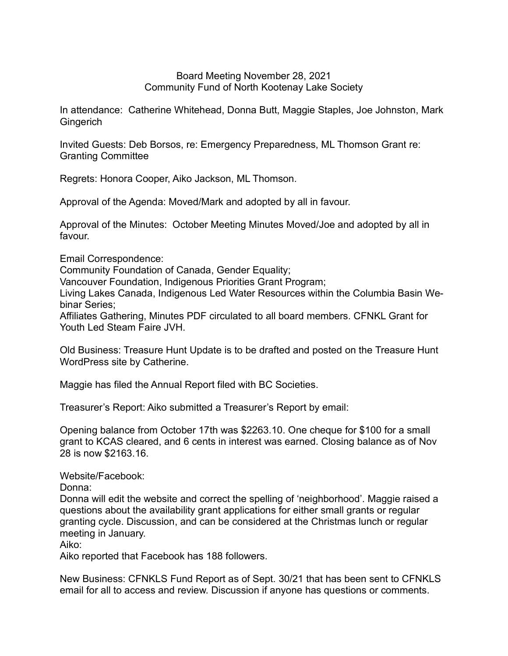## Board Meeting November 28, 2021 Community Fund of North Kootenay Lake Society

In attendance: Catherine Whitehead, Donna Butt, Maggie Staples, Joe Johnston, Mark **Gingerich** 

Invited Guests: Deb Borsos, re: Emergency Preparedness, ML Thomson Grant re: Granting Committee

Regrets: Honora Cooper, Aiko Jackson, ML Thomson.

Approval of the Agenda: Moved/Mark and adopted by all in favour.

Approval of the Minutes: October Meeting Minutes Moved/Joe and adopted by all in favour.

Email Correspondence:

Community Foundation of Canada, Gender Equality;

Vancouver Foundation, Indigenous Priorities Grant Program;

Living Lakes Canada, Indigenous Led Water Resources within the Columbia Basin Webinar Series;

Affiliates Gathering, Minutes PDF circulated to all board members. CFNKL Grant for Youth Led Steam Faire JVH.

Old Business: Treasure Hunt Update is to be drafted and posted on the Treasure Hunt WordPress site by Catherine.

Maggie has filed the Annual Report filed with BC Societies.

Treasurer's Report: Aiko submitted a Treasurer's Report by email:

Opening balance from October 17th was \$2263.10. One cheque for \$100 for a small grant to KCAS cleared, and 6 cents in interest was earned. Closing balance as of Nov 28 is now \$2163.16.

Website/Facebook:

Donna:

Donna will edit the website and correct the spelling of 'neighborhood'. Maggie raised a questions about the availability grant applications for either small grants or regular granting cycle. Discussion, and can be considered at the Christmas lunch or regular meeting in January.

Aiko:

Aiko reported that Facebook has 188 followers.

New Business: CFNKLS Fund Report as of Sept. 30/21 that has been sent to CFNKLS email for all to access and review. Discussion if anyone has questions or comments.